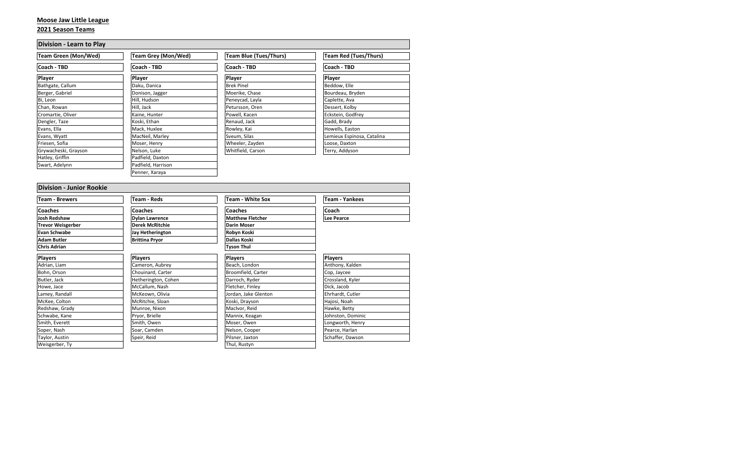# **Moose Jaw Little League**

#### **2021 Season Teams**

| <b>Division - Learn to Play</b> |                            |                        |                              |  |
|---------------------------------|----------------------------|------------------------|------------------------------|--|
| Team Green (Mon/Wed)            | <b>Team Grey (Mon/Wed)</b> | Team Blue (Tues/Thurs) | <b>Team Red (Tues/Thurs)</b> |  |
| Coach - TBD                     | Coach - TBD                | Coach - TBD            | Coach - TBD                  |  |
| <b>Player</b>                   | Player                     | Player                 | Player                       |  |
| Bathgate, Callum                | Daku, Danica               | <b>Brek Pinel</b>      | Beddow, Elle                 |  |
| Berger, Gabriel                 | Donison, Jagger            | Moerike, Chase         | Bourdeau, Bryden             |  |
| Bi, Leon                        | Hill, Hudson               | Peneycad, Layla        | Caplette, Ava                |  |
| Chan, Rowan                     | Hill, Jack                 | Petursson, Oren        | Dessert, Kolby               |  |
| Cromartie, Oliver               | Kaine, Hunter              | Powell, Kacen          | Eckstein, Godfrey            |  |
| Dengler, Taze                   | Koski, Ethan               | Renaud, Jack           | Gadd, Brady                  |  |
| Evans, Ella                     | Mack, Huxlee               | Rowley, Kai            | Howells, Easton              |  |
| Evans, Wyatt                    | MacNeil, Marley            | Sveum, Silas           | Lemieux Espinosa, Catalina   |  |
| Friesen, Sofia                  | Moser, Henry               | Wheeler, Zayden        | Loose, Daxton                |  |
| Grywacheski, Grayson            | Nelson, Luke               | Whitfield, Carson      | Terry, Addyson               |  |
| Hatley, Griffin                 | Padfield, Daxton           |                        |                              |  |
| Swart, Adelynn                  | Padfield, Harrison         |                        |                              |  |
|                                 | Penner, Xaraya             |                        |                              |  |

| <b>Division - Junior Rookie</b> |                        |                         |                       |
|---------------------------------|------------------------|-------------------------|-----------------------|
| <b>Team - Brewers</b>           | <b>Team - Reds</b>     | <b>Team - White Sox</b> | <b>Team - Yankees</b> |
| <b>Coaches</b>                  | <b>Coaches</b>         | <b>Coaches</b>          | Coach                 |
| <b>Josh Redshaw</b>             | <b>Dylan Lawrence</b>  | <b>Matthew Fletcher</b> | <b>Lee Pearce</b>     |
| <b>Trevor Weisgerber</b>        | <b>Derek McRitchie</b> | <b>Darin Moser</b>      |                       |
| Evan Schwabe                    | Jay Hetherington       | Robyn Koski             |                       |
| <b>Adam Butler</b>              | <b>Brittina Pryor</b>  | Dallas Koski            |                       |
| <b>Chris Adrian</b>             |                        | <b>Tyson Thul</b>       |                       |
| <b>Players</b>                  | <b>Players</b>         | <b>Players</b>          | <b>Players</b>        |
| Adrian, Liam                    | Cameron, Aubrey        | Beach, London           | Anthony, Kalden       |
| Bohn, Orson                     | Chouinard, Carter      | Broomfield, Carter      | Cop, Jaycee           |
| Butler, Jack                    | Hetherington, Cohen    | Darroch, Ryder          | Crossland, Kyler      |
| Howe, Jace                      | McCallum, Nash         | Fletcher, Finley        | Dick, Jacob           |
| Lamey, Randall                  | McKeown, Olivia        | Jordan, Jake Glenton    | Ehrhardt, Cutler      |
| McKee, Colton                   | McRitchie, Sloan       | Koski, Drayson          | Hajosi, Noah          |
| Redshaw, Grady                  | Munroe, Nixon          | MacIvor, Reid           | Hawke, Betty          |
| Schwabe, Kane                   | Pryor, Brielle         | Mannix, Keagan          | Johnston, Dominic     |
| Smith, Everett                  | Smith, Owen            | Moser, Owen             | Longworth, Henry      |
| Soper, Nash                     | Soar, Camden           | Nelson, Cooper          | Pearce, Harlan        |
| Taylor, Austin                  | Speir, Reid            | Pilsner, Jaxton         | Schaffer, Dawson      |
| Weisgerber, Ty                  |                        | Thul, Rustyn            |                       |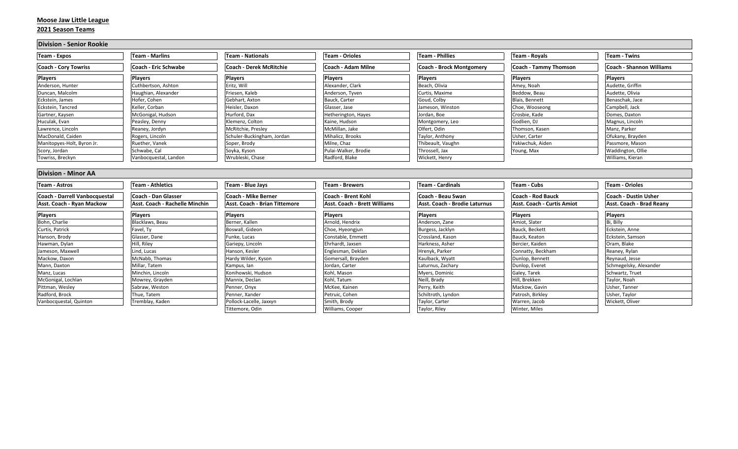## **Moose Jaw Little League**

#### **2021 Season Teams**

| <b>Division - Senior Rookie</b> |                                |                                |                              |                               |                                   |                          |
|---------------------------------|--------------------------------|--------------------------------|------------------------------|-------------------------------|-----------------------------------|--------------------------|
| Team - Expos                    | Team - Marlins                 | <b>Team - Nationals</b>        | <b>Team - Orioles</b>        | <b>Team - Phillies</b>        | <b>Team - Royals</b>              | <b>Team - Twins</b>      |
| <b>Coach - Cory Towriss</b>     | <b>Coach - Eric Schwabe</b>    | <b>Coach - Derek McRitchie</b> | Coach - Adam Milne           | Coach - Brock Montgomery      | <b>Coach - Tammy Thomson</b>      | Coach - Shannon Williams |
| <b>Players</b>                  | <b>Players</b>                 | <b>Players</b>                 | <b>Players</b>               | <b>Players</b>                | Players                           | <b>Players</b>           |
| Anderson, Hunter                | Cuthbertson, Ashton            | Eritz, Will                    | Alexander, Clark             | Beach, Olivia                 | Amey, Noah                        | Audette, Griffin         |
| Duncan, Malcolm                 | Haughian, Alexander            | Friesen. Kaleb                 | Anderson, Tyven              | Curtis, Maxime                | Beddow, Beau                      | Audette, Olivia          |
| Eckstein, James                 | Hofer, Cohen                   | Gebhart, Axton                 | Bauck, Carter                | Goud, Colby                   | Blais, Bennett                    | Benaschak, Jace          |
| Eckstein, Tancred               | Keller, Corban                 | Heisler. Daxon                 | Glasser, Jase                | Jameson, Winston              | Choe, Wooseong                    | Campbell, Jack           |
| Gartner, Kaysen                 | McGonigal, Hudson              | Hurford, Dax                   | Hetherington, Hayes          | Jordan, Boe                   | Crosbie, Kade                     | Domes, Daxton            |
| Huculak, Evan                   | Peasley, Denny                 | Klemenz, Colton                | Kaine, Hudson                | Montgomery, Leo               | Godlien, DJ                       | Magnus, Lincoln          |
| Lawrence, Lincoln               | Reaney, Jordyn                 | McRitchie, Presley             | McMillan, Jake               | Olfert, Odin                  | Thomson, Kasen                    | Manz, Parker             |
| MacDonald, Caiden               | Rogers, Lincoln                | Schuler-Buckingham, Jordan     | Mihalicz, Brooks             | Taylor, Anthony               | Usher, Carter                     | Ofukany, Brayden         |
| Manitopyes-Holt, Byron Jr.      | Ruether, Vanek                 | Soper, Brody                   | Milne, Chaz                  | Thibeault, Vaughn             | Yakiwchuk, Aiden                  | Passmore, Mason          |
| Scory, Jordan                   | Schwabe, Cal                   | Soyka, Kyson                   | Pulai-Walker, Brodie         | Throssell, Jax                | Young, Max                        | Waddington, Ollie        |
| owriss, Breckyn                 | Vanbocquestal, Landon          | Wrubleski, Chase               | Radford, Blake               | Wickett, Henry                |                                   | Williams, Kieran         |
| <b>Division - Minor AA</b>      |                                |                                |                              |                               |                                   |                          |
| Team - Astros                   | Team - Athletics               | Team - Blue Jays               | <b>Team - Brewers</b>        | Team - Cardinals              | Team - Cubs                       | Team - Orioles           |
| Coach - Darrell Vanbocquestal   | Coach - Dan Glasser            | lCoach - Mike Berner           | Coach - Brent Kohl           | Coach - Beau Swan             | <b>Coach - Rod Bauck</b>          | Coach - Dustin Usher     |
| Asst. Coach - Ryan Mackow       | Asst. Coach - Rachelle Minchin | Asst. Coach - Brian Tittemore  | Asst. Coach - Brett Williams | Asst. Coach - Brodie Laturnus | <b>Asst. Coach - Curtis Amiot</b> | Asst. Coach - Brad Reany |
| <b>Players</b>                  | Players                        | Players                        | <b>Players</b>               | <b>Players</b>                | Players                           | <b>Players</b>           |
| <b>Pohn Charlie</b>             | <b>Placklows Posu</b>          | <b>Pornor</b> Kallon           | Arnold Hondriv               | Anderson Zano                 | Amint Clater                      | <b>Di Dilly</b>          |

| Players                | <b>Players</b>   | Players                 | Players            | Players            | Players           | <b>Players</b>         |
|------------------------|------------------|-------------------------|--------------------|--------------------|-------------------|------------------------|
| Bohn, Charlie          | Blacklaws, Beau  | Berner, Kallen          | Arnold, Hendrix    | Anderson, Zane     | Amiot, Slater     | Bi, Billy              |
| Curtis, Patrick        | Favel, Ty        | Boswall, Gideon         | Choe, Hyeongjun    | Burgess, Jacklyn   | Bauck, Beckett    | Eckstein, Anne         |
| Hanson, Brody          | Glasser, Dane    | Funke, Lucas            | Constable, Emmett  | Crossland, Kason   | Bauck, Keaton     | Eckstein, Samson       |
| Hawman, Dylan          | Hill, Riley      | Gariepy, Lincoln        | Ehrhardt. Jaxsen   | Harkness, Asher    | Bercier, Kaiden   | Oram, Blake            |
| Jameson, Maxwell       | Lind, Lucas      | Hanson, Kesler          | Englesman, Deklan  | Hrenyk, Parker     | Connatty, Beckham | Reaney, Rylan          |
| Mackow, Daxon          | McNabb, Thomas   | Hardy Wilder, Kyson     | Gomersall, Brayden | Kaulback, Wyatt    | Dunlop, Bennett   | Reynaud, Jesse         |
| Mann, Daxton           | Millar, Tatem    | Kampus, lan             | Jordan, Carter     | Laturnus, Zachary  | Dunlop, Everet    | Schmegelsky, Alexander |
| Manz, Lucas            | Minchin, Lincoln | Konihowski, Hudson      | Kohl, Mason        | Myers, Dominic     | Galey, Tarek      | Schwartz, Truet        |
| McGonigal, Lochlan     | Mowrey, Grayden  | Mannix, Declan          | Kohl, Tatum        | Neill, Brady       | Hill. Brekken     | Taylor, Noah           |
| Pittman, Wesley        | Sabraw, Weston   | Penner, Onyx            | McKee, Kainen      | Perry, Keith       | Mackow, Gavin     | Usher, Tanner          |
| Radford, Brock         | Thue, Tatem      | Penner, Xander          | Petruic, Cohen     | Schiltroth, Lyndon | Patrosh, Birkley  | Usher, Taylor          |
| Vanbocquestal, Quinton | Tremblay, Kaden  | Pollock-Lacelle, Jaxxyn | Smith, Brody       | Taylor, Carter     | Warren, Jacob     | Wickett, Oliver        |
|                        |                  | Tittemore, Odin         | Williams, Cooper   | Taylor, Riley      | Winter, Miles     |                        |
|                        |                  |                         |                    |                    |                   |                        |